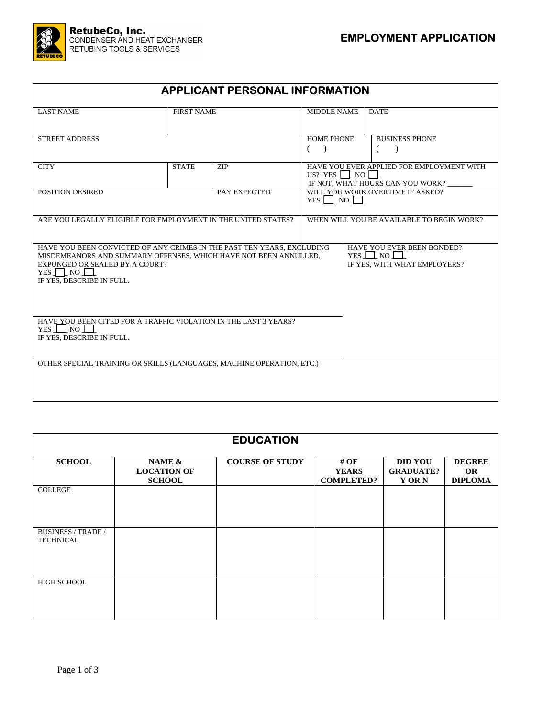

| <b>APPLICANT PERSONAL INFORMATION</b>                                                                                                                                                                                           |                                                                          |            |                                                                                                    |  |                       |  |
|---------------------------------------------------------------------------------------------------------------------------------------------------------------------------------------------------------------------------------|--------------------------------------------------------------------------|------------|----------------------------------------------------------------------------------------------------|--|-----------------------|--|
| <b>LAST NAME</b>                                                                                                                                                                                                                | <b>FIRST NAME</b>                                                        |            | <b>MIDDLE NAME</b>                                                                                 |  | <b>DATE</b>           |  |
| <b>STREET ADDRESS</b>                                                                                                                                                                                                           |                                                                          |            | <b>HOME PHONE</b><br>$\rightarrow$<br>€                                                            |  | <b>BUSINESS PHONE</b> |  |
| <b>CITY</b>                                                                                                                                                                                                                     | <b>STATE</b>                                                             | <b>ZIP</b> | HAVE YOU EVER APPLIED FOR EMPLOYMENT WITH<br>US? YES $\Box$ NO<br>IF NOT, WHAT HOURS CAN YOU WORK? |  |                       |  |
| POSITION DESIRED<br>PAY EXPECTED                                                                                                                                                                                                |                                                                          |            | WILL YOU WORK OVERTIME IF ASKED?<br>YES $\Box$ NO $\Box$                                           |  |                       |  |
| ARE YOU LEGALLY ELIGIBLE FOR EMPLOYMENT IN THE UNITED STATES?                                                                                                                                                                   |                                                                          |            | WHEN WILL YOU BE AVAILABLE TO BEGIN WORK?                                                          |  |                       |  |
| HAVE YOU BEEN CONVICTED OF ANY CRIMES IN THE PAST TEN YEARS. EXCLUDING<br>MISDEMEANORS AND SUMMARY OFFENSES, WHICH HAVE NOT BEEN ANNULLED,<br>EXPUNGED OR SEALED BY A COURT?<br>$YES \Box NO \Box$<br>IF YES, DESCRIBE IN FULL. | HAVE YOU EVER BEEN BONDED?<br>YES I NO I<br>IF YES, WITH WHAT EMPLOYERS? |            |                                                                                                    |  |                       |  |
| HAVE YOU BEEN CITED FOR A TRAFFIC VIOLATION IN THE LAST 3 YEARS?<br>$YES$     $NO$    <br>IF YES, DESCRIBE IN FULL.                                                                                                             |                                                                          |            |                                                                                                    |  |                       |  |
| OTHER SPECIAL TRAINING OR SKILLS (LANGUAGES, MACHINE OPERATION, ETC.)                                                                                                                                                           |                                                                          |            |                                                                                                    |  |                       |  |

| <b>EDUCATION</b>                              |                                               |                        |                                           |                                                   |                                              |  |  |  |  |
|-----------------------------------------------|-----------------------------------------------|------------------------|-------------------------------------------|---------------------------------------------------|----------------------------------------------|--|--|--|--|
| <b>SCHOOL</b>                                 | NAME &<br><b>LOCATION OF</b><br><b>SCHOOL</b> | <b>COURSE OF STUDY</b> | # OF<br><b>YEARS</b><br><b>COMPLETED?</b> | <b>DID YOU</b><br><b>GRADUATE?</b><br><b>YORN</b> | <b>DEGREE</b><br><b>OR</b><br><b>DIPLOMA</b> |  |  |  |  |
| COLLEGE                                       |                                               |                        |                                           |                                                   |                                              |  |  |  |  |
| <b>BUSINESS / TRADE /</b><br><b>TECHNICAL</b> |                                               |                        |                                           |                                                   |                                              |  |  |  |  |
| HIGH SCHOOL                                   |                                               |                        |                                           |                                                   |                                              |  |  |  |  |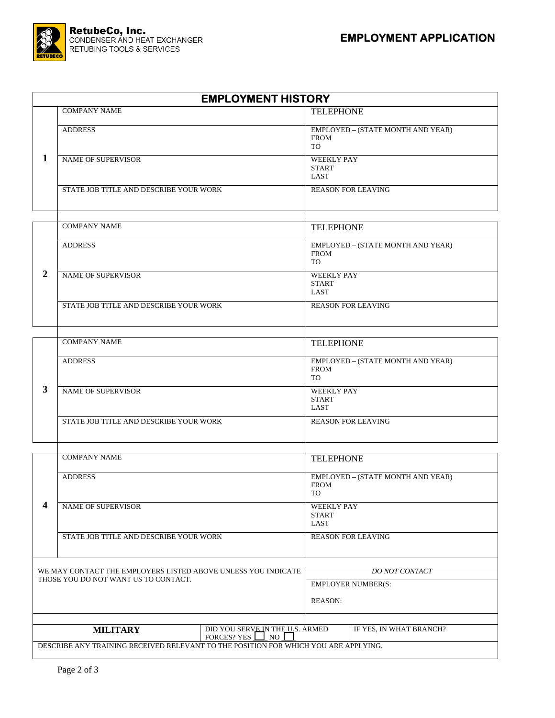

|                                                                                                        | <b>EMPLOYMENT HISTORY</b>                                                           |                           |                                             |                                                               |  |  |  |
|--------------------------------------------------------------------------------------------------------|-------------------------------------------------------------------------------------|---------------------------|---------------------------------------------|---------------------------------------------------------------|--|--|--|
|                                                                                                        | <b>COMPANY NAME</b>                                                                 |                           | <b>TELEPHONE</b>                            |                                                               |  |  |  |
|                                                                                                        | <b>ADDRESS</b>                                                                      |                           |                                             | EMPLOYED - (STATE MONTH AND YEAR)<br><b>FROM</b><br>TO        |  |  |  |
| 1                                                                                                      | <b>NAME OF SUPERVISOR</b>                                                           |                           |                                             | <b>WEEKLY PAY</b><br><b>START</b><br>LAST                     |  |  |  |
|                                                                                                        | STATE JOB TITLE AND DESCRIBE YOUR WORK                                              | <b>REASON FOR LEAVING</b> |                                             |                                                               |  |  |  |
|                                                                                                        | <b>COMPANY NAME</b>                                                                 |                           | <b>TELEPHONE</b>                            |                                                               |  |  |  |
|                                                                                                        | <b>ADDRESS</b>                                                                      |                           |                                             | EMPLOYED - (STATE MONTH AND YEAR)<br><b>FROM</b><br>TO        |  |  |  |
| $\overline{2}$                                                                                         | <b>NAME OF SUPERVISOR</b>                                                           |                           |                                             | <b>WEEKLY PAY</b><br><b>START</b><br>LAST                     |  |  |  |
|                                                                                                        | STATE JOB TITLE AND DESCRIBE YOUR WORK                                              |                           |                                             | <b>REASON FOR LEAVING</b>                                     |  |  |  |
|                                                                                                        | <b>COMPANY NAME</b>                                                                 |                           |                                             | <b>TELEPHONE</b>                                              |  |  |  |
|                                                                                                        | <b>ADDRESS</b>                                                                      |                           |                                             | EMPLOYED - (STATE MONTH AND YEAR)<br><b>FROM</b><br>TO        |  |  |  |
| $\mathbf{3}$                                                                                           | <b>NAME OF SUPERVISOR</b>                                                           |                           |                                             | <b>WEEKLY PAY</b><br><b>START</b><br>LAST                     |  |  |  |
| STATE JOB TITLE AND DESCRIBE YOUR WORK                                                                 |                                                                                     |                           | <b>REASON FOR LEAVING</b>                   |                                                               |  |  |  |
|                                                                                                        | <b>COMPANY NAME</b>                                                                 |                           |                                             | <b>TELEPHONE</b>                                              |  |  |  |
|                                                                                                        | <b>ADDRESS</b>                                                                      |                           |                                             | EMPLOYED - (STATE MONTH AND YEAR)<br><b>FROM</b><br><b>TO</b> |  |  |  |
| 4                                                                                                      | <b>NAME OF SUPERVISOR</b>                                                           |                           |                                             | <b>WEEKLY PAY</b><br><b>START</b><br>LAST                     |  |  |  |
|                                                                                                        | STATE JOB TITLE AND DESCRIBE YOUR WORK                                              |                           |                                             | <b>REASON FOR LEAVING</b>                                     |  |  |  |
|                                                                                                        |                                                                                     |                           |                                             |                                                               |  |  |  |
| WE MAY CONTACT THE EMPLOYERS LISTED ABOVE UNLESS YOU INDICATE<br>THOSE YOU DO NOT WANT US TO CONTACT.  |                                                                                     |                           | <b>DO NOT CONTACT</b>                       |                                                               |  |  |  |
|                                                                                                        |                                                                                     |                           | <b>EMPLOYER NUMBER(S:</b><br><b>REASON:</b> |                                                               |  |  |  |
| DID YOU SERVE IN THE U.S. ARMED<br>IF YES, IN WHAT BRANCH?<br><b>MILITARY</b><br>FORCES? YES $\Box$ NO |                                                                                     |                           |                                             |                                                               |  |  |  |
|                                                                                                        | DESCRIBE ANY TRAINING RECEIVED RELEVANT TO THE POSITION FOR WHICH YOU ARE APPLYING. |                           |                                             |                                                               |  |  |  |